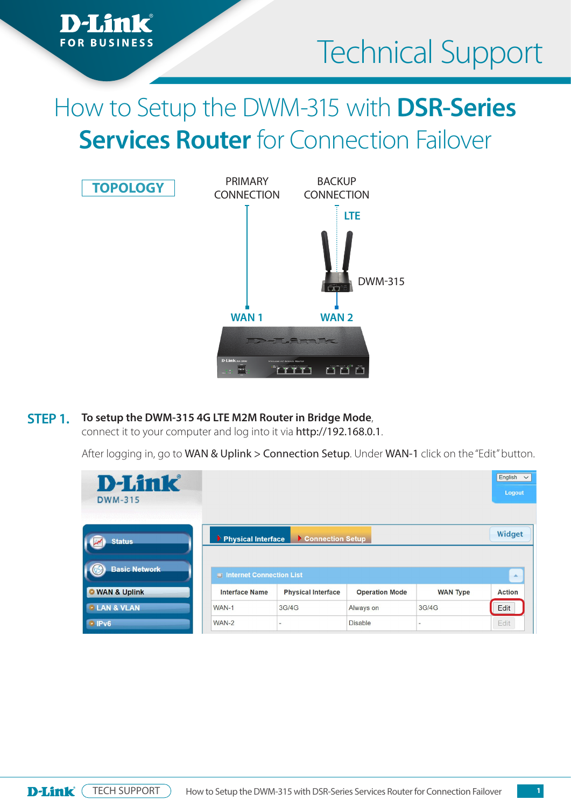

# How to Setup the DWM-315 with **DSR-Series Services Router** for Connection Failover



#### **To setup the DWM-315 4G LTE M2M Router in Bridge Mode**, **STEP 1.**

*a*nk

connect it to your computer and log into it via http://192.168.0.1.

After logging in, go to WAN & Uplink > Connection Setup. Under WAN-1 click on the "Edit" button.

| <b>D-Link</b><br><b>DWM-315</b> |                          |                           |                       |                 | English<br>$\checkmark$<br>Logout |
|---------------------------------|--------------------------|---------------------------|-----------------------|-----------------|-----------------------------------|
| <b>Status</b>                   | Physical Interface       | Connection Setup          |                       |                 | Widget                            |
| <b>Basic Network</b>            | Internet Connection List |                           |                       |                 | A.                                |
| <b>O</b> WAN & Uplink           | <b>Interface Name</b>    | <b>Physical Interface</b> | <b>Operation Mode</b> | <b>WAN Type</b> | <b>Action</b>                     |
| <b>• LAN &amp; VLAN</b>         | WAN-1                    | 3G/4G                     | Always on             | 3G/4G           | Edit                              |
| <b>IPv6</b>                     | WAN-2                    | $\overline{\phantom{a}}$  | <b>Disable</b>        | $\sim$          | Edit                              |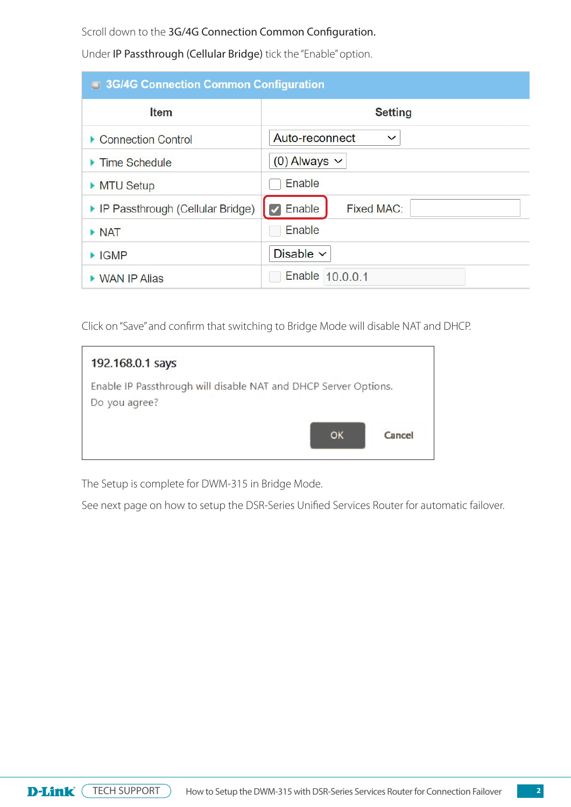Scroll down to the 3G/4G Connection Common Configuration.

Under IP Passthrough (Cellular Bridge) tick the "Enable" option.

| <b>3G/4G Connection Common Configuration</b> |                                |  |  |  |
|----------------------------------------------|--------------------------------|--|--|--|
| <b>Item</b>                                  | <b>Setting</b>                 |  |  |  |
| ▶ Connection Control                         | Auto-reconnect<br>$\checkmark$ |  |  |  |
| $\blacktriangleright$ Time Schedule          | $(0)$ Always $\vee$            |  |  |  |
| MTU Setup                                    | Enable                         |  |  |  |
| ▶ IP Passthrough (Cellular Bridge)           | $\vee$ Enable<br>Fixed MAC:    |  |  |  |
| $\triangleright$ NAT                         | Enable                         |  |  |  |
| $\blacktriangleright$ IGMP                   | Disable $\vee$                 |  |  |  |
| ▶ WAN IP Alias                               | Enable 10.0.0.1                |  |  |  |

Click on "Save" and confirm that switching to Bridge Mode will disable NAT and DHCP.

| 192.168.0.1 says                                                                 |        |
|----------------------------------------------------------------------------------|--------|
| Enable IP Passthrough will disable NAT and DHCP Server Options.<br>Do you agree? |        |
| <b>OK</b>                                                                        | Cancel |

The Setup is complete for DWM-315 in Bridge Mode.

See next page on how to setup the DSR-Series Unified Services Router for automatic failover.